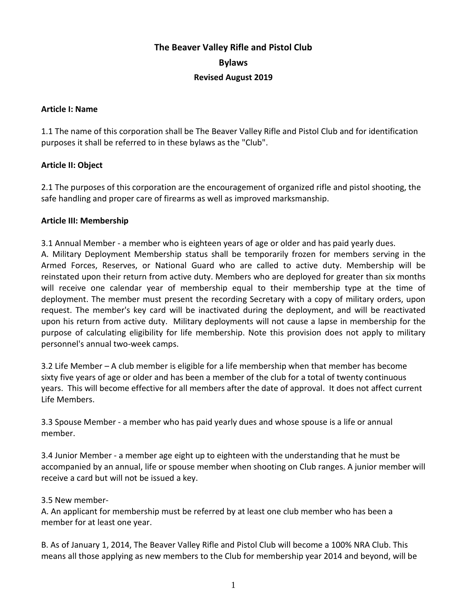# **The Beaver Valley Rifle and Pistol Club Bylaws Revised August 2019**

#### **Article I: Name**

1.1 The name of this corporation shall be The Beaver Valley Rifle and Pistol Club and for identification purposes it shall be referred to in these bylaws as the "Club".

#### **Article II: Object**

2.1 The purposes of this corporation are the encouragement of organized rifle and pistol shooting, the safe handling and proper care of firearms as well as improved marksmanship.

#### **Article III: Membership**

3.1 Annual Member - a member who is eighteen years of age or older and has paid yearly dues.

A. Military Deployment Membership status shall be temporarily frozen for members serving in the Armed Forces, Reserves, or National Guard who are called to active duty. Membership will be reinstated upon their return from active duty. Members who are deployed for greater than six months will receive one calendar year of membership equal to their membership type at the time of deployment. The member must present the recording Secretary with a copy of military orders, upon request. The member's key card will be inactivated during the deployment, and will be reactivated upon his return from active duty. Military deployments will not cause a lapse in membership for the purpose of calculating eligibility for life membership. Note this provision does not apply to military personnel's annual two-week camps.

3.2 Life Member – A club member is eligible for a life membership when that member has become sixty five years of age or older and has been a member of the club for a total of twenty continuous years. This will become effective for all members after the date of approval. It does not affect current Life Members.

3.3 Spouse Member - a member who has paid yearly dues and whose spouse is a life or annual member.

3.4 Junior Member - a member age eight up to eighteen with the understanding that he must be accompanied by an annual, life or spouse member when shooting on Club ranges. A junior member will receive a card but will not be issued a key.

## 3.5 New member-

A. An applicant for membership must be referred by at least one club member who has been a member for at least one year.

B. As of January 1, 2014, The Beaver Valley Rifle and Pistol Club will become a 100% NRA Club. This means all those applying as new members to the Club for membership year 2014 and beyond, will be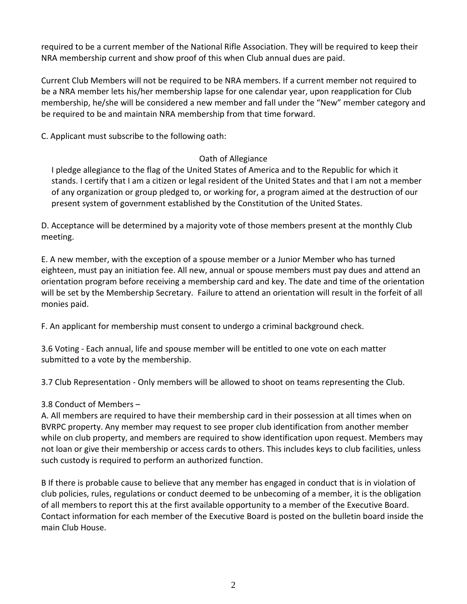required to be a current member of the National Rifle Association. They will be required to keep their NRA membership current and show proof of this when Club annual dues are paid.

Current Club Members will not be required to be NRA members. If a current member not required to be a NRA member lets his/her membership lapse for one calendar year, upon reapplication for Club membership, he/she will be considered a new member and fall under the "New" member category and be required to be and maintain NRA membership from that time forward.

C. Applicant must subscribe to the following oath:

# Oath of Allegiance

I pledge allegiance to the flag of the United States of America and to the Republic for which it stands. I certify that I am a citizen or legal resident of the United States and that I am not a member of any organization or group pledged to, or working for, a program aimed at the destruction of our present system of government established by the Constitution of the United States.

D. Acceptance will be determined by a majority vote of those members present at the monthly Club meeting.

E. A new member, with the exception of a spouse member or a Junior Member who has turned eighteen, must pay an initiation fee. All new, annual or spouse members must pay dues and attend an orientation program before receiving a membership card and key. The date and time of the orientation will be set by the Membership Secretary. Failure to attend an orientation will result in the forfeit of all monies paid.

F. An applicant for membership must consent to undergo a criminal background check.

3.6 Voting - Each annual, life and spouse member will be entitled to one vote on each matter submitted to a vote by the membership.

3.7 Club Representation - Only members will be allowed to shoot on teams representing the Club.

# 3.8 Conduct of Members –

A. All members are required to have their membership card in their possession at all times when on BVRPC property. Any member may request to see proper club identification from another member while on club property, and members are required to show identification upon request. Members may not loan or give their membership or access cards to others. This includes keys to club facilities, unless such custody is required to perform an authorized function.

B If there is probable cause to believe that any member has engaged in conduct that is in violation of club policies, rules, regulations or conduct deemed to be unbecoming of a member, it is the obligation of all members to report this at the first available opportunity to a member of the Executive Board. Contact information for each member of the Executive Board is posted on the bulletin board inside the main Club House.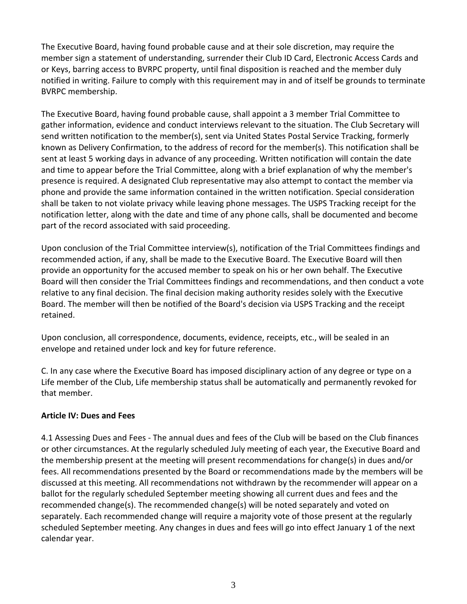The Executive Board, having found probable cause and at their sole discretion, may require the member sign a statement of understanding, surrender their Club ID Card, Electronic Access Cards and or Keys, barring access to BVRPC property, until final disposition is reached and the member duly notified in writing. Failure to comply with this requirement may in and of itself be grounds to terminate BVRPC membership.

The Executive Board, having found probable cause, shall appoint a 3 member Trial Committee to gather information, evidence and conduct interviews relevant to the situation. The Club Secretary will send written notification to the member(s), sent via United States Postal Service Tracking, formerly known as Delivery Confirmation, to the address of record for the member(s). This notification shall be sent at least 5 working days in advance of any proceeding. Written notification will contain the date and time to appear before the Trial Committee, along with a brief explanation of why the member's presence is required. A designated Club representative may also attempt to contact the member via phone and provide the same information contained in the written notification. Special consideration shall be taken to not violate privacy while leaving phone messages. The USPS Tracking receipt for the notification letter, along with the date and time of any phone calls, shall be documented and become part of the record associated with said proceeding.

Upon conclusion of the Trial Committee interview(s), notification of the Trial Committees findings and recommended action, if any, shall be made to the Executive Board. The Executive Board will then provide an opportunity for the accused member to speak on his or her own behalf. The Executive Board will then consider the Trial Committees findings and recommendations, and then conduct a vote relative to any final decision. The final decision making authority resides solely with the Executive Board. The member will then be notified of the Board's decision via USPS Tracking and the receipt retained.

Upon conclusion, all correspondence, documents, evidence, receipts, etc., will be sealed in an envelope and retained under lock and key for future reference.

C. In any case where the Executive Board has imposed disciplinary action of any degree or type on a Life member of the Club, Life membership status shall be automatically and permanently revoked for that member.

## **Article IV: Dues and Fees**

4.1 Assessing Dues and Fees - The annual dues and fees of the Club will be based on the Club finances or other circumstances. At the regularly scheduled July meeting of each year, the Executive Board and the membership present at the meeting will present recommendations for change(s) in dues and/or fees. All recommendations presented by the Board or recommendations made by the members will be discussed at this meeting. All recommendations not withdrawn by the recommender will appear on a ballot for the regularly scheduled September meeting showing all current dues and fees and the recommended change(s). The recommended change(s) will be noted separately and voted on separately. Each recommended change will require a majority vote of those present at the regularly scheduled September meeting. Any changes in dues and fees will go into effect January 1 of the next calendar year.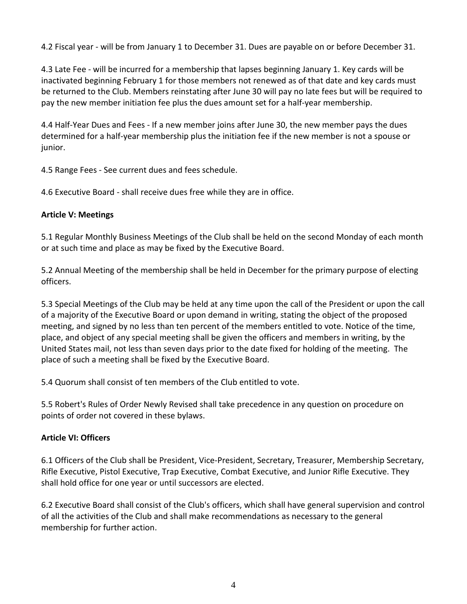4.2 Fiscal year - will be from January 1 to December 31. Dues are payable on or before December 31.

4.3 Late Fee - will be incurred for a membership that lapses beginning January 1. Key cards will be inactivated beginning February 1 for those members not renewed as of that date and key cards must be returned to the Club. Members reinstating after June 30 will pay no late fees but will be required to pay the new member initiation fee plus the dues amount set for a half-year membership.

4.4 Half-Year Dues and Fees - If a new member joins after June 30, the new member pays the dues determined for a half-year membership plus the initiation fee if the new member is not a spouse or junior.

4.5 Range Fees - See current dues and fees schedule.

4.6 Executive Board - shall receive dues free while they are in office.

#### **Article V: Meetings**

5.1 Regular Monthly Business Meetings of the Club shall be held on the second Monday of each month or at such time and place as may be fixed by the Executive Board.

5.2 Annual Meeting of the membership shall be held in December for the primary purpose of electing officers.

5.3 Special Meetings of the Club may be held at any time upon the call of the President or upon the call of a majority of the Executive Board or upon demand in writing, stating the object of the proposed meeting, and signed by no less than ten percent of the members entitled to vote. Notice of the time, place, and object of any special meeting shall be given the officers and members in writing, by the United States mail, not less than seven days prior to the date fixed for holding of the meeting. The place of such a meeting shall be fixed by the Executive Board.

5.4 Quorum shall consist of ten members of the Club entitled to vote.

5.5 Robert's Rules of Order Newly Revised shall take precedence in any question on procedure on points of order not covered in these bylaws.

## **Article VI: Officers**

6.1 Officers of the Club shall be President, Vice-President, Secretary, Treasurer, Membership Secretary, Rifle Executive, Pistol Executive, Trap Executive, Combat Executive, and Junior Rifle Executive. They shall hold office for one year or until successors are elected.

6.2 Executive Board shall consist of the Club's officers, which shall have general supervision and control of all the activities of the Club and shall make recommendations as necessary to the general membership for further action.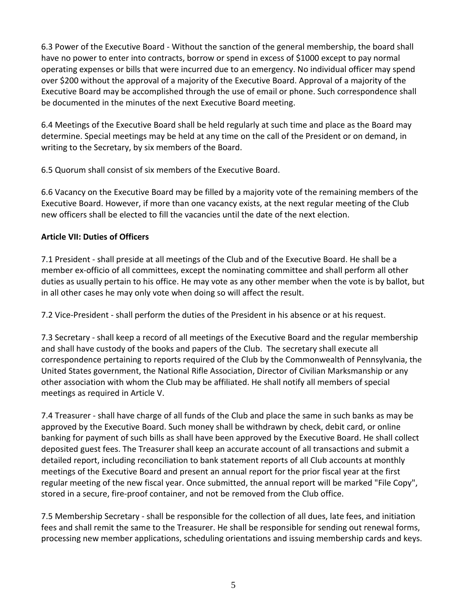6.3 Power of the Executive Board - Without the sanction of the general membership, the board shall have no power to enter into contracts, borrow or spend in excess of \$1000 except to pay normal operating expenses or bills that were incurred due to an emergency. No individual officer may spend over \$200 without the approval of a majority of the Executive Board. Approval of a majority of the Executive Board may be accomplished through the use of email or phone. Such correspondence shall be documented in the minutes of the next Executive Board meeting.

6.4 Meetings of the Executive Board shall be held regularly at such time and place as the Board may determine. Special meetings may be held at any time on the call of the President or on demand, in writing to the Secretary, by six members of the Board.

6.5 Quorum shall consist of six members of the Executive Board.

6.6 Vacancy on the Executive Board may be filled by a majority vote of the remaining members of the Executive Board. However, if more than one vacancy exists, at the next regular meeting of the Club new officers shall be elected to fill the vacancies until the date of the next election.

# **Article VII: Duties of Officers**

7.1 President - shall preside at all meetings of the Club and of the Executive Board. He shall be a member ex-officio of all committees, except the nominating committee and shall perform all other duties as usually pertain to his office. He may vote as any other member when the vote is by ballot, but in all other cases he may only vote when doing so will affect the result.

7.2 Vice-President - shall perform the duties of the President in his absence or at his request.

7.3 Secretary - shall keep a record of all meetings of the Executive Board and the regular membership and shall have custody of the books and papers of the Club. The secretary shall execute all correspondence pertaining to reports required of the Club by the Commonwealth of Pennsylvania, the United States government, the National Rifle Association, Director of Civilian Marksmanship or any other association with whom the Club may be affiliated. He shall notify all members of special meetings as required in Article V.

7.4 Treasurer - shall have charge of all funds of the Club and place the same in such banks as may be approved by the Executive Board. Such money shall be withdrawn by check, debit card, or online banking for payment of such bills as shall have been approved by the Executive Board. He shall collect deposited guest fees. The Treasurer shall keep an accurate account of all transactions and submit a detailed report, including reconciliation to bank statement reports of all Club accounts at monthly meetings of the Executive Board and present an annual report for the prior fiscal year at the first regular meeting of the new fiscal year. Once submitted, the annual report will be marked "File Copy", stored in a secure, fire-proof container, and not be removed from the Club office.

7.5 Membership Secretary - shall be responsible for the collection of all dues, late fees, and initiation fees and shall remit the same to the Treasurer. He shall be responsible for sending out renewal forms, processing new member applications, scheduling orientations and issuing membership cards and keys.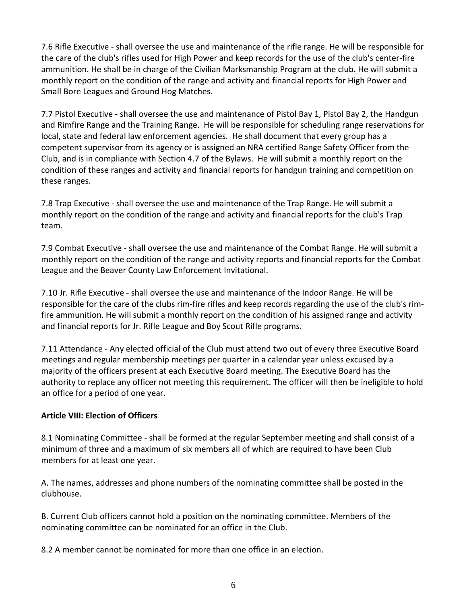7.6 Rifle Executive - shall oversee the use and maintenance of the rifle range. He will be responsible for the care of the club's rifles used for High Power and keep records for the use of the club's center-fire ammunition. He shall be in charge of the Civilian Marksmanship Program at the club. He will submit a monthly report on the condition of the range and activity and financial reports for High Power and Small Bore Leagues and Ground Hog Matches.

7.7 Pistol Executive - shall oversee the use and maintenance of Pistol Bay 1, Pistol Bay 2, the Handgun and Rimfire Range and the Training Range. He will be responsible for scheduling range reservations for local, state and federal law enforcement agencies. He shall document that every group has a competent supervisor from its agency or is assigned an NRA certified Range Safety Officer from the Club, and is in compliance with Section 4.7 of the Bylaws. He will submit a monthly report on the condition of these ranges and activity and financial reports for handgun training and competition on these ranges.

7.8 Trap Executive - shall oversee the use and maintenance of the Trap Range. He will submit a monthly report on the condition of the range and activity and financial reports for the club's Trap team.

7.9 Combat Executive - shall oversee the use and maintenance of the Combat Range. He will submit a monthly report on the condition of the range and activity reports and financial reports for the Combat League and the Beaver County Law Enforcement Invitational.

7.10 Jr. Rifle Executive - shall oversee the use and maintenance of the Indoor Range. He will be responsible for the care of the clubs rim-fire rifles and keep records regarding the use of the club's rimfire ammunition. He will submit a monthly report on the condition of his assigned range and activity and financial reports for Jr. Rifle League and Boy Scout Rifle programs.

7.11 Attendance - Any elected official of the Club must attend two out of every three Executive Board meetings and regular membership meetings per quarter in a calendar year unless excused by a majority of the officers present at each Executive Board meeting. The Executive Board has the authority to replace any officer not meeting this requirement. The officer will then be ineligible to hold an office for a period of one year.

## **Article VIII: Election of Officers**

8.1 Nominating Committee - shall be formed at the regular September meeting and shall consist of a minimum of three and a maximum of six members all of which are required to have been Club members for at least one year.

A. The names, addresses and phone numbers of the nominating committee shall be posted in the clubhouse.

B. Current Club officers cannot hold a position on the nominating committee. Members of the nominating committee can be nominated for an office in the Club.

8.2 A member cannot be nominated for more than one office in an election.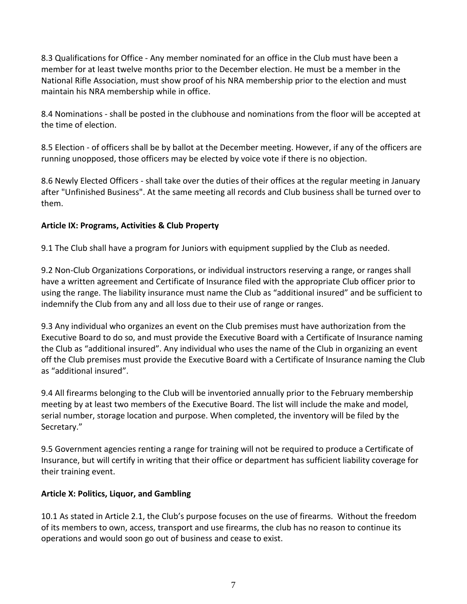8.3 Qualifications for Office - Any member nominated for an office in the Club must have been a member for at least twelve months prior to the December election. He must be a member in the National Rifle Association, must show proof of his NRA membership prior to the election and must maintain his NRA membership while in office.

8.4 Nominations - shall be posted in the clubhouse and nominations from the floor will be accepted at the time of election.

8.5 Election - of officers shall be by ballot at the December meeting. However, if any of the officers are running unopposed, those officers may be elected by voice vote if there is no objection.

8.6 Newly Elected Officers - shall take over the duties of their offices at the regular meeting in January after "Unfinished Business". At the same meeting all records and Club business shall be turned over to them.

## **Article IX: Programs, Activities & Club Property**

9.1 The Club shall have a program for Juniors with equipment supplied by the Club as needed.

9.2 Non-Club Organizations Corporations, or individual instructors reserving a range, or ranges shall have a written agreement and Certificate of Insurance filed with the appropriate Club officer prior to using the range. The liability insurance must name the Club as "additional insured" and be sufficient to indemnify the Club from any and all loss due to their use of range or ranges.

9.3 Any individual who organizes an event on the Club premises must have authorization from the Executive Board to do so, and must provide the Executive Board with a Certificate of Insurance naming the Club as "additional insured". Any individual who uses the name of the Club in organizing an event off the Club premises must provide the Executive Board with a Certificate of Insurance naming the Club as "additional insured".

9.4 All firearms belonging to the Club will be inventoried annually prior to the February membership meeting by at least two members of the Executive Board. The list will include the make and model, serial number, storage location and purpose. When completed, the inventory will be filed by the Secretary."

9.5 Government agencies renting a range for training will not be required to produce a Certificate of Insurance, but will certify in writing that their office or department has sufficient liability coverage for their training event.

## **Article X: Politics, Liquor, and Gambling**

10.1 As stated in Article 2.1, the Club's purpose focuses on the use of firearms. Without the freedom of its members to own, access, transport and use firearms, the club has no reason to continue its operations and would soon go out of business and cease to exist.